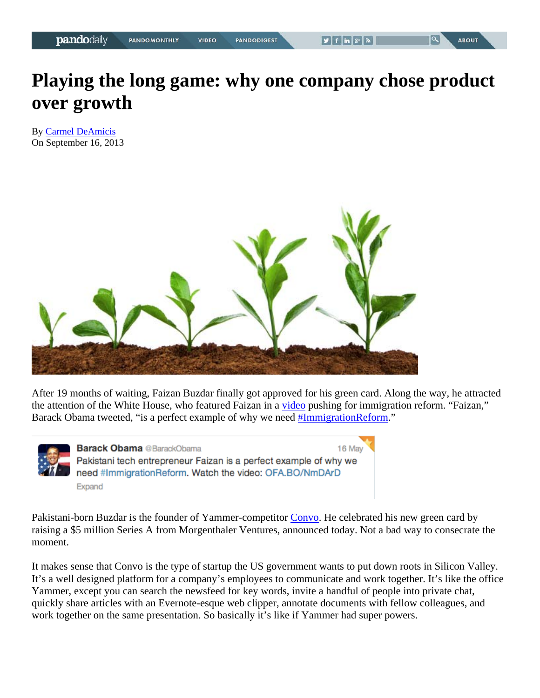## **Playing the long game: why one company chose product over growth**

By Carmel DeAmicis On September 16, 2013



After 19 months of waiting, Faizan Buzdar finally got approved for his green card. Along the way, he attracted the attention of the White House, who featured Faizan in a video pushing for immigration reform. "Faizan," Barack Obama tweeted, "is a perfect example of why we need #ImmigrationReform."



**Barack Obama** @BarackObama 16 May Pakistani tech entrepreneur Faizan is a perfect example of why we need #ImmigrationReform. Watch the video: OFA.BO/NmDArD Expand

Pakistani-born Buzdar is the founder of Yammer-competitor Convo. He celebrated his new green card by raising a \$5 million Series A from Morgenthaler Ventures, announced today. Not a bad way to consecrate the moment.

It makes sense that Convo is the type of startup the US government wants to put down roots in Silicon Valley. It's a well designed platform for a company's employees to communicate and work together. It's like the office Yammer, except you can search the newsfeed for key words, invite a handful of people into private chat, quickly share articles with an Evernote-esque web clipper, annotate documents with fellow colleagues, and work together on the same presentation. So basically it's like if Yammer had super powers.